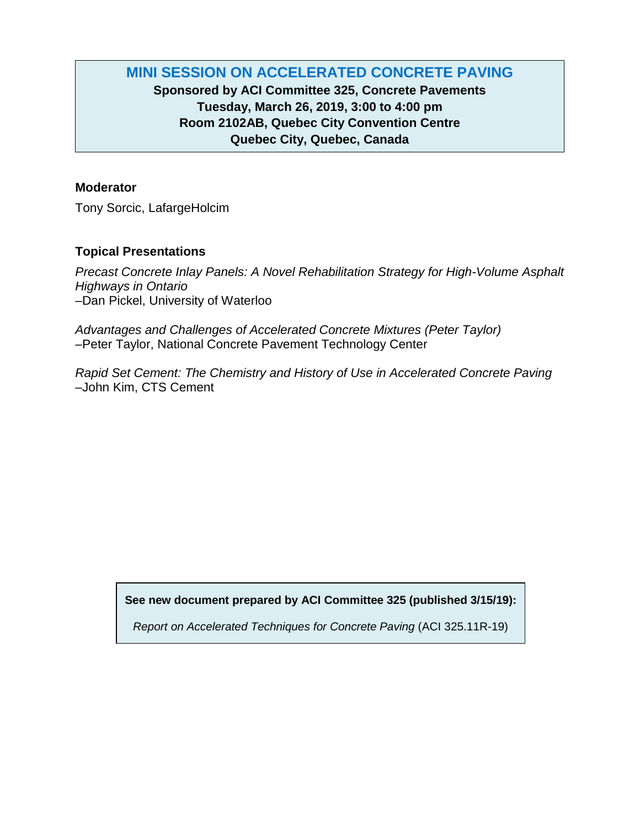# **MINI SESSION ON ACCELERATED CONCRETE PAVING**

# **Sponsored by ACI Committee 325, Concrete Pavements Tuesday, March 26, 2019, 3:00 to 4:00 pm Room 2102AB, Quebec City Convention Centre Quebec City, Quebec, Canada**

## **Moderator**

Tony Sorcic, LafargeHolcim

# **Topical Presentations**

*Precast Concrete Inlay Panels: A Novel Rehabilitation Strategy for High-Volume Asphalt Highways in Ontario* –Dan Pickel, University of Waterloo

*Advantages and Challenges of Accelerated Concrete Mixtures (Peter Taylor)* –Peter Taylor, National Concrete Pavement Technology Center

*Rapid Set Cement: The Chemistry and History of Use in Accelerated Concrete Paving* –John Kim, CTS Cement

**See new document prepared by ACI Committee 325 (published 3/15/19):**

*Report on Accelerated Techniques for Concrete Paving* (ACI 325.11R-19)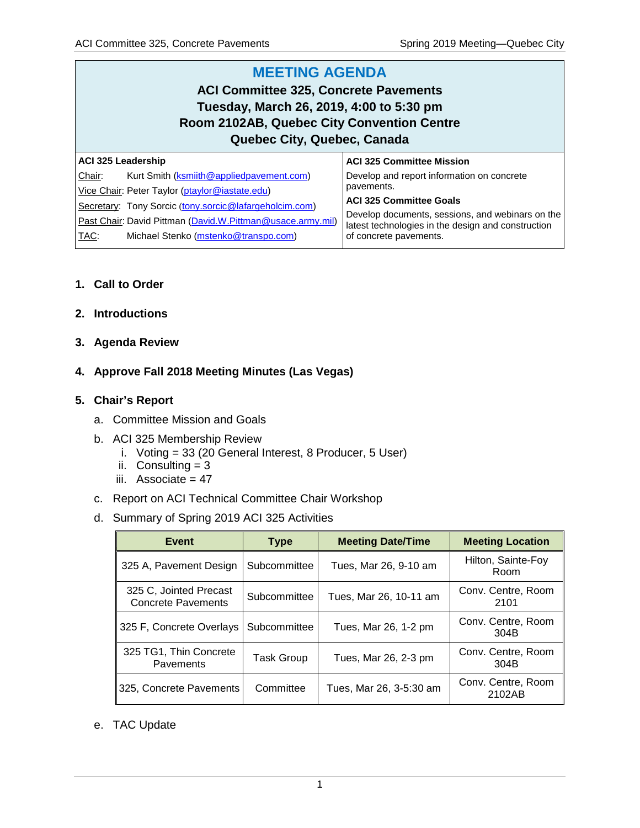#### **MEETING AGENDA ACI Committee 325, Concrete Pavements Tuesday, March 26, 2019, 4:00 to 5:30 pm Room 2102AB, Quebec City Convention Centre Quebec City, Quebec, Canada ACI 325 Leadership** Chair: Kurt Smith [\(ksmiith@appliedpavement.com\)](mailto:ksmiith@appliedpavement.com) **ACI 325 Committee Mission** Develop and report information on concrete

| Vice Chair: Peter Taylor (ptaylor@iastate.edu)             | pavements.                                                                                             |
|------------------------------------------------------------|--------------------------------------------------------------------------------------------------------|
| Secretary: Tony Sorcic (tony.sorcic@lafargeholcim.com)     | ACI 325 Committee Goals                                                                                |
| Past Chair: David Pittman (David.W.Pittman@usace.army.mil) | Develop documents, sessions, and webinars on the<br>latest technologies in the design and construction |
| TAC:<br>Michael Stenko (mstenko@transpo.com)               | of concrete pavements.                                                                                 |

## **1. Call to Order**

- **2. Introductions**
- **3. Agenda Review**

## **4. Approve Fall 2018 Meeting Minutes (Las Vegas)**

#### **5. Chair's Report**

- a. Committee Mission and Goals
- b. ACI 325 Membership Review
	- i. Voting = 33 (20 General Interest, 8 Producer, 5 User)
	- ii. Consulting  $= 3$
	- iii. Associate  $= 47$
- c. Report on ACI Technical Committee Chair Workshop
- d. Summary of Spring 2019 ACI 325 Activities

| Event                                               | <b>Type</b>  | <b>Meeting Date/Time</b> | <b>Meeting Location</b>      |
|-----------------------------------------------------|--------------|--------------------------|------------------------------|
| 325 A, Pavement Design                              | Subcommittee | Tues, Mar 26, 9-10 am    | Hilton, Sainte-Foy<br>Room   |
| 325 C, Jointed Precast<br><b>Concrete Pavements</b> | Subcommittee | Tues, Mar 26, 10-11 am   | Conv. Centre, Room<br>2101   |
| 325 F, Concrete Overlays                            | Subcommittee | Tues, Mar 26, 1-2 pm     | Conv. Centre, Room<br>304B   |
| 325 TG1, Thin Concrete<br><b>Pavements</b>          | Task Group   | Tues, Mar 26, 2-3 pm     | Conv. Centre, Room<br>304B   |
| 325, Concrete Pavements                             | Committee    | Tues, Mar 26, 3-5:30 am  | Conv. Centre, Room<br>2102AB |

e. TAC Update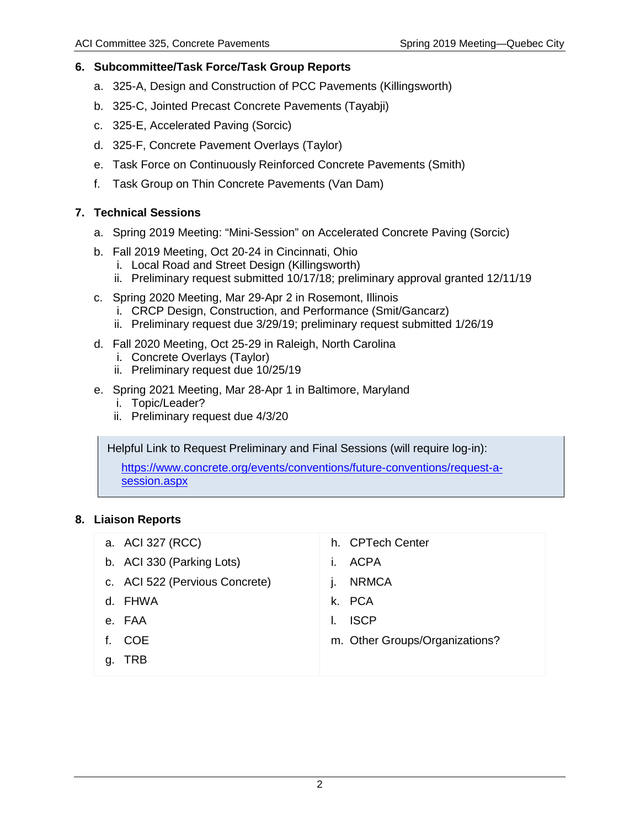## **6. Subcommittee/Task Force/Task Group Reports**

- a. 325-A, Design and Construction of PCC Pavements (Killingsworth)
- b. 325-C, Jointed Precast Concrete Pavements (Tayabji)
- c. 325-E, Accelerated Paving (Sorcic)
- d. 325-F, Concrete Pavement Overlays (Taylor)
- e. Task Force on Continuously Reinforced Concrete Pavements (Smith)
- f. Task Group on Thin Concrete Pavements (Van Dam)

### **7. Technical Sessions**

- a. Spring 2019 Meeting: "Mini-Session" on Accelerated Concrete Paving (Sorcic)
- b. Fall 2019 Meeting, Oct 20-24 in Cincinnati, Ohio
	- i. Local Road and Street Design (Killingsworth)
	- ii. Preliminary request submitted 10/17/18; preliminary approval granted 12/11/19
- c. Spring 2020 Meeting, Mar 29-Apr 2 in Rosemont, Illinois
	- i. CRCP Design, Construction, and Performance (Smit/Gancarz)
	- ii. Preliminary request due 3/29/19; preliminary request submitted 1/26/19
- d. Fall 2020 Meeting, Oct 25-29 in Raleigh, North Carolina
	- i. Concrete Overlays (Taylor)
	- ii. Preliminary request due 10/25/19
- e. Spring 2021 Meeting, Mar 28-Apr 1 in Baltimore, Maryland
	- i. Topic/Leader?
	- ii. Preliminary request due 4/3/20

Helpful Link to Request Preliminary and Final Sessions (will require log-in):

[https://www.concrete.org/events/conventions/future-conventions/request-a](https://www.concrete.org/events/conventions/future-conventions/request-a-session.aspx)[session.aspx](https://www.concrete.org/events/conventions/future-conventions/request-a-session.aspx)

## **8. Liaison Reports**

- a. ACI 327 (RCC) b. ACI 330 (Parking Lots) c. ACI 522 (Pervious Concrete) d. FHWA e. FAA h. CPTech Center i. ACPA j. NRMCA k. PCA l. ISCP
- f. COE
- g. TRB

2

m. Other Groups/Organizations?